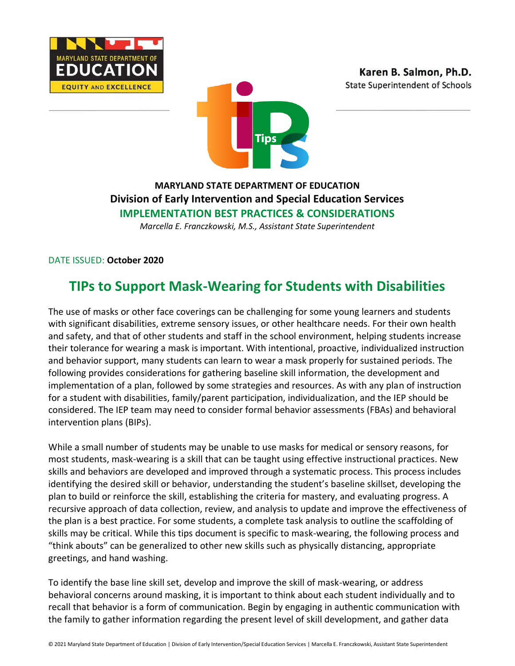





### **MARYLAND STATE DEPARTMENT OF EDUCATION Division of Early Intervention and Special Education Services IMPLEMENTATION BEST PRACTICES & CONSIDERATIONS**

*Marcella E. Franczkowski, M.S., Assistant State Superintendent*

DATE ISSUED: **October 2020**

## **TIPs to Support Mask-Wearing for Students with Disabilities**

The use of masks or other face coverings can be challenging for some young learners and students with significant disabilities, extreme sensory issues, or other healthcare needs. For their own health and safety, and that of other students and staff in the school environment, helping students increase their tolerance for wearing a mask is important. With intentional, proactive, individualized instruction and behavior support, many students can learn to wear a mask properly for sustained periods. The following provides considerations for gathering baseline skill information, the development and implementation of a plan, followed by some strategies and resources. As with any plan of instruction for a student with disabilities, family/parent participation, individualization, and the IEP should be considered. The IEP team may need to consider formal behavior assessments (FBAs) and behavioral intervention plans (BIPs).

While a small number of students may be unable to use masks for medical or sensory reasons, for most students, mask-wearing is a skill that can be taught using effective instructional practices. New skills and behaviors are developed and improved through a systematic process. This process includes identifying the desired skill or behavior, understanding the student's baseline skillset, developing the plan to build or reinforce the skill, establishing the criteria for mastery, and evaluating progress. A recursive approach of data collection, review, and analysis to update and improve the effectiveness of the plan is a best practice. For some students, a complete task analysis to outline the scaffolding of skills may be critical. While this tips document is specific to mask-wearing, the following process and "think abouts" can be generalized to other new skills such as physically distancing, appropriate greetings, and hand washing.

To identify the base line skill set, develop and improve the skill of mask-wearing, or address behavioral concerns around masking, it is important to think about each student individually and to recall that behavior is a form of communication. Begin by engaging in authentic communication with the family to gather information regarding the present level of skill development, and gather data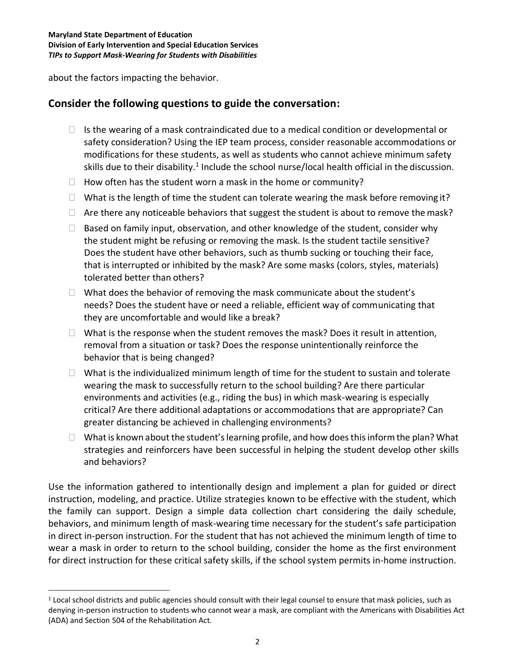about the factors impacting the behavior.

#### **Consider the following questions to guide the conversation:**

- $\Box$  Is the wearing of a mask contraindicated due to a medical condition or developmental or safety consideration? Using the IEP team process, consider reasonable accommodations or modifications for these students, as well as students who cannot achieve minimum safety skills due to their disability.<sup>1</sup> Include the school nurse/local health official in the discussion.
- $\Box$  How often has the student worn a mask in the home or community?
- $\Box$  What is the length of time the student can tolerate wearing the mask before removing it?
- $\Box$  Are there any noticeable behaviors that suggest the student is about to remove the mask?
- $\Box$  Based on family input, observation, and other knowledge of the student, consider why the student might be refusing or removing the mask. Is the student tactile sensitive? Does the student have other behaviors, such as thumb sucking or touching their face, that is interrupted or inhibited by the mask? Are some masks (colors, styles, materials) tolerated better than others?
- $\Box$  What does the behavior of removing the mask communicate about the student's needs? Does the student have or need a reliable, efficient way of communicating that they are uncomfortable and would like a break?
- $\Box$  What is the response when the student removes the mask? Does it result in attention, removal from a situation or task? Does the response unintentionally reinforce the behavior that is being changed?
- $\Box$  What is the individualized minimum length of time for the student to sustain and tolerate wearing the mask to successfully return to the school building? Are there particular environments and activities (e.g., riding the bus) in which mask-wearing is especially critical? Are there additional adaptations or accommodations that are appropriate? Can greater distancing be achieved in challenging environments?
- $\Box$  What is known about the student's learning profile, and how does this inform the plan? What strategies and reinforcers have been successful in helping the student develop other skills and behaviors?

Use the information gathered to intentionally design and implement a plan for guided or direct instruction, modeling, and practice. Utilize strategies known to be effective with the student, which the family can support. Design a simple data collection chart considering the daily schedule, behaviors, and minimum length of mask-wearing time necessary for the student's safe participation in direct in-person instruction. For the student that has not achieved the minimum length of time to wear a mask in order to return to the school building, consider the home as the first environment for direct instruction for these critical safety skills, if the school system permits in-home instruction.

<sup>&</sup>lt;sup>1</sup> Local school districts and public agencies should consult with their legal counsel to ensure that mask policies, such as denying in-person instruction to students who cannot wear a mask, are compliant with the Americans with Disabilities Act (ADA) and Section 504 of the Rehabilitation Act.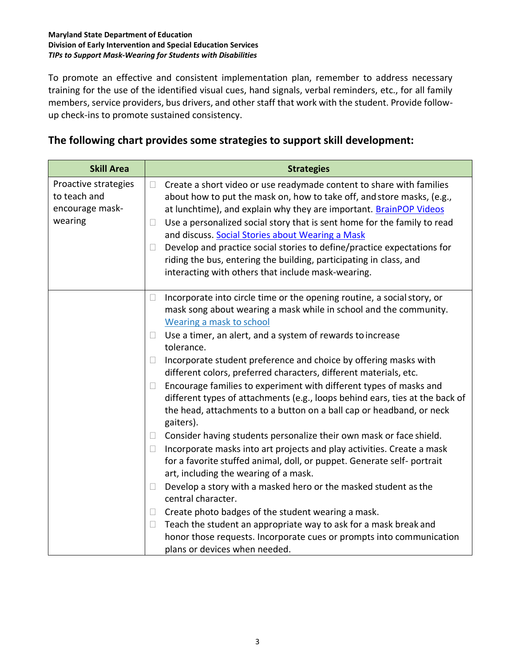#### **Maryland State Department of Education Division of Early Intervention and Special Education Services** *TIPs to Support Mask-Wearing for Students with Disabilities*

To promote an effective and consistent implementation plan, remember to address necessary training for the use of the identified visual cues, hand signals, verbal reminders, etc., for all family members, service providers, bus drivers, and other staff that work with the student. Provide followup check-ins to promote sustained consistency.

#### **The following chart provides some strategies to support skill development:**

| <b>Skill Area</b>                                                  | <b>Strategies</b>                                                                                                                                                                                                                                                                                               |
|--------------------------------------------------------------------|-----------------------------------------------------------------------------------------------------------------------------------------------------------------------------------------------------------------------------------------------------------------------------------------------------------------|
| Proactive strategies<br>to teach and<br>encourage mask-<br>wearing | Create a short video or use readymade content to share with families<br>$\Box$<br>about how to put the mask on, how to take off, and store masks, (e.g.,<br>at lunchtime), and explain why they are important. BrainPOP Videos<br>Use a personalized social story that is sent home for the family to read<br>Ш |
|                                                                    | and discuss. Social Stories about Wearing a Mask                                                                                                                                                                                                                                                                |
|                                                                    | Develop and practice social stories to define/practice expectations for<br>$\Box$                                                                                                                                                                                                                               |
|                                                                    | riding the bus, entering the building, participating in class, and<br>interacting with others that include mask-wearing.                                                                                                                                                                                        |
|                                                                    | Incorporate into circle time or the opening routine, a social story, or<br>$\Box$<br>mask song about wearing a mask while in school and the community.<br>Wearing a mask to school                                                                                                                              |
|                                                                    | Use a timer, an alert, and a system of rewards to increase<br>Ц<br>tolerance.                                                                                                                                                                                                                                   |
|                                                                    | Incorporate student preference and choice by offering masks with<br>$\Box$<br>different colors, preferred characters, different materials, etc.                                                                                                                                                                 |
|                                                                    | Encourage families to experiment with different types of masks and<br>$\Box$<br>different types of attachments (e.g., loops behind ears, ties at the back of<br>the head, attachments to a button on a ball cap or headband, or neck<br>gaiters).                                                               |
|                                                                    | Consider having students personalize their own mask or face shield.<br>Ц                                                                                                                                                                                                                                        |
|                                                                    | Incorporate masks into art projects and play activities. Create a mask<br>$\Box$<br>for a favorite stuffed animal, doll, or puppet. Generate self- portrait<br>art, including the wearing of a mask.                                                                                                            |
|                                                                    | Develop a story with a masked hero or the masked student as the<br>$\Box$<br>central character.                                                                                                                                                                                                                 |
|                                                                    | Create photo badges of the student wearing a mask.<br>П                                                                                                                                                                                                                                                         |
|                                                                    | Teach the student an appropriate way to ask for a mask break and<br>$\Box$                                                                                                                                                                                                                                      |
|                                                                    | honor those requests. Incorporate cues or prompts into communication<br>plans or devices when needed.                                                                                                                                                                                                           |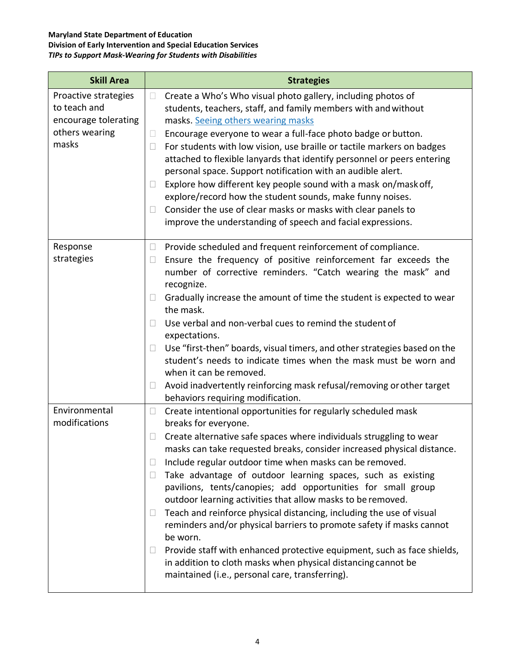# **Maryland State Department of Education**

### **Division of Early Intervention and Special Education Services**

| <b>Skill Area</b>                    | <b>Strategies</b>                                                                                                                                                                                     |
|--------------------------------------|-------------------------------------------------------------------------------------------------------------------------------------------------------------------------------------------------------|
| Proactive strategies<br>to teach and | Create a Who's Who visual photo gallery, including photos of<br>$\Box$                                                                                                                                |
| encourage tolerating                 | students, teachers, staff, and family members with and without<br>masks. Seeing others wearing masks                                                                                                  |
| others wearing                       | Encourage everyone to wear a full-face photo badge or button.<br>$\Box$                                                                                                                               |
| masks                                | For students with low vision, use braille or tactile markers on badges<br>$\Box$                                                                                                                      |
|                                      | attached to flexible lanyards that identify personnel or peers entering<br>personal space. Support notification with an audible alert.                                                                |
|                                      | Explore how different key people sound with a mask on/mask off,<br>$\Box$<br>explore/record how the student sounds, make funny noises.                                                                |
|                                      | Consider the use of clear masks or masks with clear panels to<br>П                                                                                                                                    |
|                                      | improve the understanding of speech and facial expressions.                                                                                                                                           |
| Response                             | Provide scheduled and frequent reinforcement of compliance.<br>$\Box$                                                                                                                                 |
| strategies                           | Ensure the frequency of positive reinforcement far exceeds the<br>$\Box$<br>number of corrective reminders. "Catch wearing the mask" and<br>recognize.                                                |
|                                      | Gradually increase the amount of time the student is expected to wear<br>П<br>the mask.                                                                                                               |
|                                      | Use verbal and non-verbal cues to remind the student of<br>П                                                                                                                                          |
|                                      | expectations.                                                                                                                                                                                         |
|                                      | Use "first-then" boards, visual timers, and other strategies based on the<br>$\Box$<br>student's needs to indicate times when the mask must be worn and<br>when it can be removed.                    |
|                                      | Avoid inadvertently reinforcing mask refusal/removing or other target<br>$\Box$                                                                                                                       |
|                                      | behaviors requiring modification.                                                                                                                                                                     |
| Environmental<br>modifications       | Create intentional opportunities for regularly scheduled mask<br>$\Box$<br>breaks for everyone.                                                                                                       |
|                                      | Create alternative safe spaces where individuals struggling to wear<br>$\Box$<br>masks can take requested breaks, consider increased physical distance.                                               |
|                                      | Include regular outdoor time when masks can be removed.<br>$\Box$                                                                                                                                     |
|                                      | Take advantage of outdoor learning spaces, such as existing<br>$\Box$<br>pavilions, tents/canopies; add opportunities for small group<br>outdoor learning activities that allow masks to be removed.  |
|                                      | Teach and reinforce physical distancing, including the use of visual<br>$\Box$<br>reminders and/or physical barriers to promote safety if masks cannot<br>be worn.                                    |
|                                      | Provide staff with enhanced protective equipment, such as face shields,<br>$\Box$<br>in addition to cloth masks when physical distancing cannot be<br>maintained (i.e., personal care, transferring). |